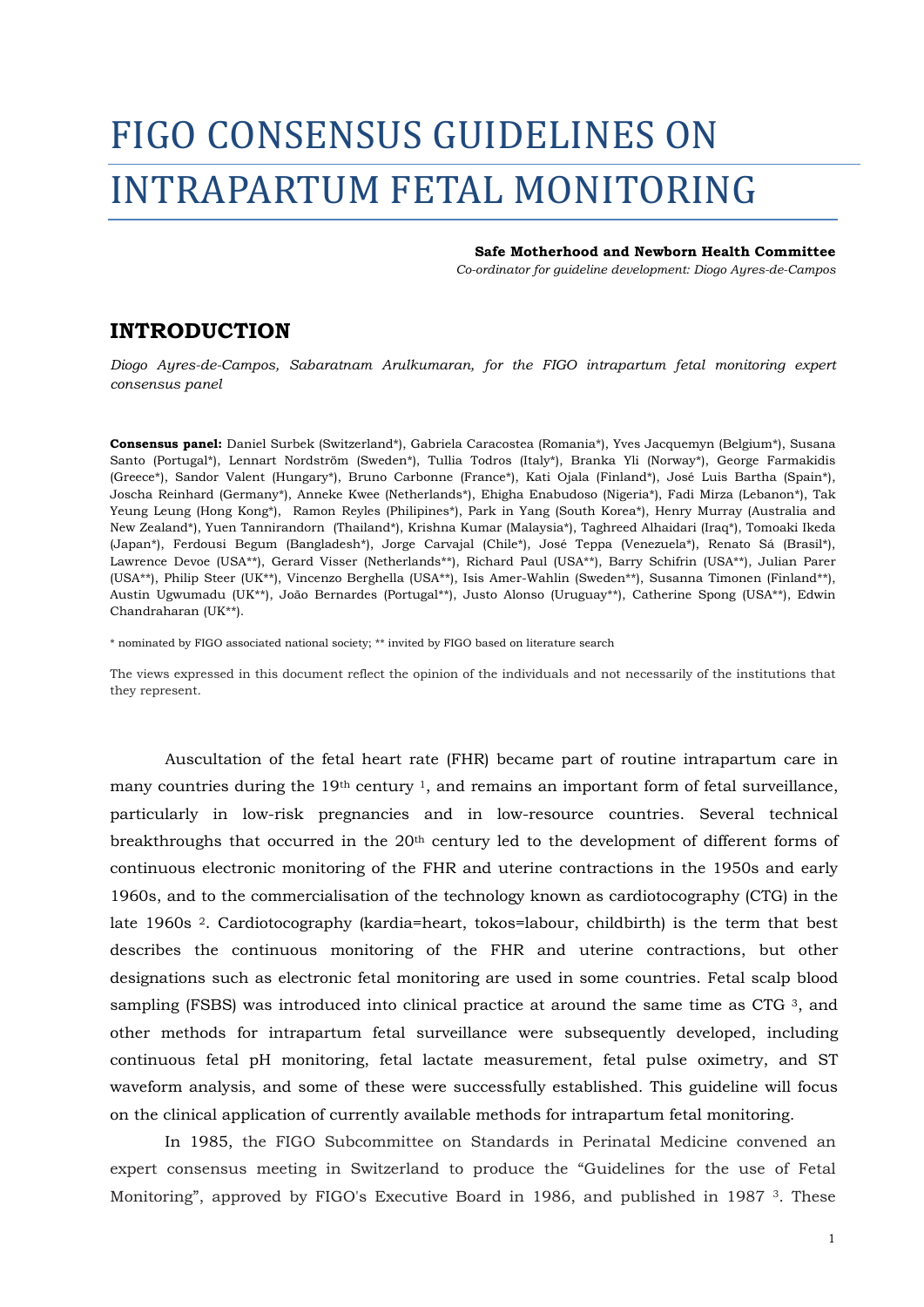## FIGO CONSENSUS GUIDELINES ON INTRAPARTUM FETAL MONITORING

## **Safe Motherhood and Newborn Health Committee**

*Co-ordinator for guideline development: Diogo Ayres-de-Campos*

## **INTRODUCTION**

*Diogo Ayres-de-Campos, Sabaratnam Arulkumaran, for the FIGO intrapartum fetal monitoring expert consensus panel* 

**Consensus panel:** Daniel Surbek (Switzerland\*), Gabriela Caracostea (Romania\*), Yves Jacquemyn (Belgium\*), Susana Santo (Portugal\*), Lennart Nordström (Sweden\*), Tullia Todros (Italy\*), Branka Yli (Norway\*), George Farmakidis (Greece\*), Sandor Valent (Hungary\*), Bruno Carbonne (France\*), Kati Ojala (Finland\*), José Luis Bartha (Spain\*), Joscha Reinhard (Germany\*), Anneke Kwee (Netherlands\*), Ehigha Enabudoso (Nigeria\*), Fadi Mirza (Lebanon\*), Tak Yeung Leung (Hong Kong\*), Ramon Reyles (Philipines\*), Park in Yang (South Korea\*), Henry Murray (Australia and New Zealand\*), Yuen Tannirandorn (Thailand\*), Krishna Kumar (Malaysia\*), Taghreed Alhaidari (Iraq\*), Tomoaki Ikeda (Japan\*), Ferdousi Begum (Bangladesh\*), Jorge Carvajal (Chile\*), José Teppa (Venezuela\*), Renato Sá (Brasil\*), Lawrence Devoe (USA\*\*), Gerard Visser (Netherlands\*\*), Richard Paul (USA\*\*), Barry Schifrin (USA\*\*), Julian Parer (USA\*\*), Philip Steer (UK\*\*), Vincenzo Berghella (USA\*\*), Isis Amer-Wahlin (Sweden\*\*), Susanna Timonen (Finland\*\*), Austin Ugwumadu (UK\*\*), João Bernardes (Portugal\*\*), Justo Alonso (Uruguay\*\*), Catherine Spong (USA\*\*), Edwin Chandraharan (UK\*\*).

\* nominated by FIGO associated national society; \*\* invited by FIGO based on literature search

The views expressed in this document reflect the opinion of the individuals and not necessarily of the institutions that they represent.

Auscultation of the fetal heart rate (FHR) became part of routine intrapartum care in many countries during the  $19<sup>th</sup>$  century <sup>1</sup>, and remains an important form of fetal surveillance, particularly in low-risk pregnancies and in low-resource countries. Several technical breakthroughs that occurred in the 20th century led to the development of different forms of continuous electronic monitoring of the FHR and uterine contractions in the 1950s and early 1960s, and to the commercialisation of the technology known as cardiotocography (CTG) in the late 1960s 2. Cardiotocography (kardia=heart, tokos=labour, childbirth) is the term that best describes the continuous monitoring of the FHR and uterine contractions, but other designations such as electronic fetal monitoring are used in some countries. Fetal scalp blood sampling (FSBS) was introduced into clinical practice at around the same time as CTG  $3$ , and other methods for intrapartum fetal surveillance were subsequently developed, including continuous fetal pH monitoring, fetal lactate measurement, fetal pulse oximetry, and ST waveform analysis, and some of these were successfully established. This guideline will focus on the clinical application of currently available methods for intrapartum fetal monitoring.

 In 1985, the FIGO Subcommittee on Standards in Perinatal Medicine convened an expert consensus meeting in Switzerland to produce the "Guidelines for the use of Fetal Monitoring", approved by FIGO's Executive Board in 1986, and published in 1987 3. These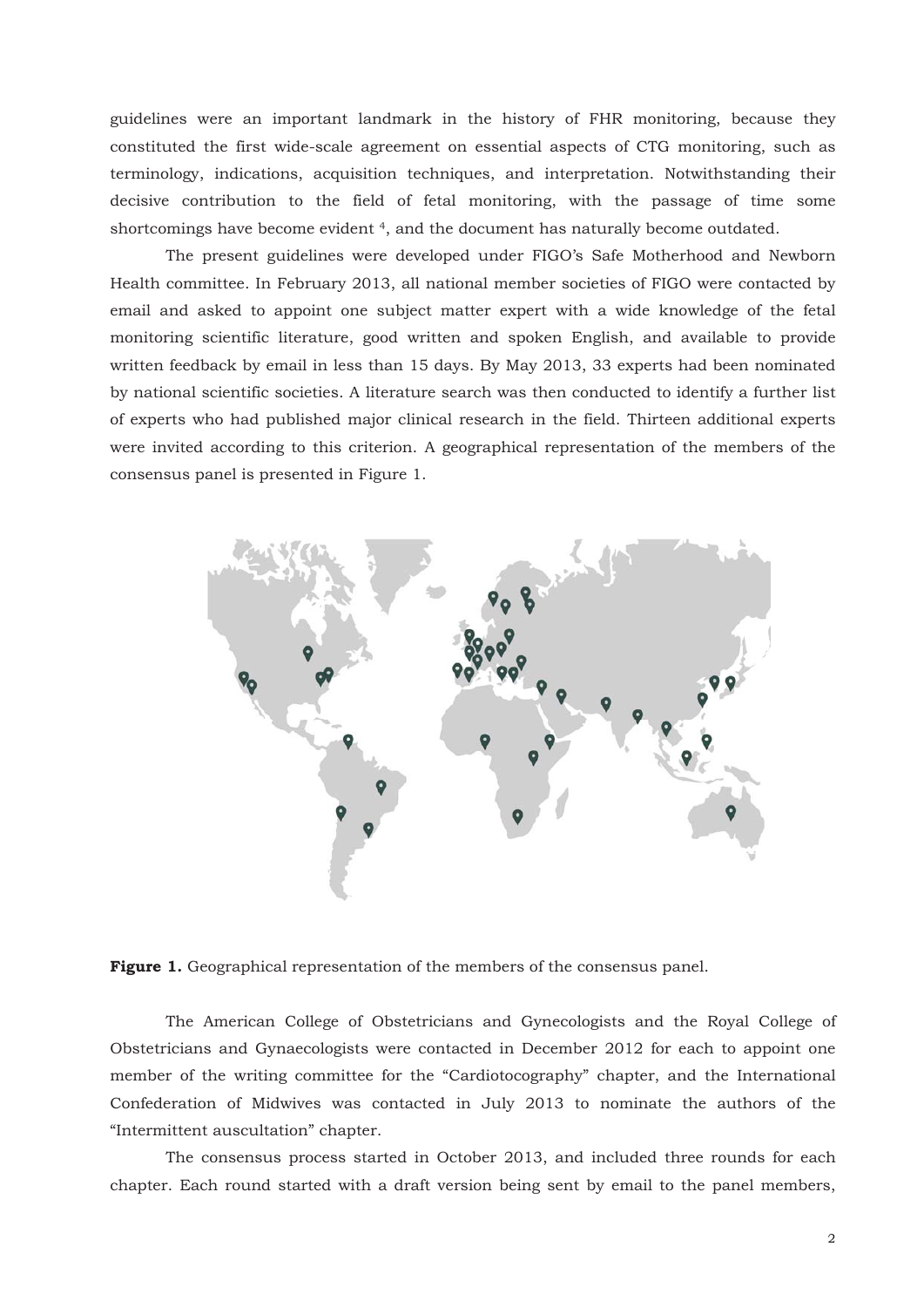guidelines were an important landmark in the history of FHR monitoring, because they constituted the first wide-scale agreement on essential aspects of CTG monitoring, such as terminology, indications, acquisition techniques, and interpretation. Notwithstanding their decisive contribution to the field of fetal monitoring, with the passage of time some shortcomings have become evident 4, and the document has naturally become outdated.

 The present guidelines were developed under FIGO's Safe Motherhood and Newborn Health committee. In February 2013, all national member societies of FIGO were contacted by email and asked to appoint one subject matter expert with a wide knowledge of the fetal monitoring scientific literature, good written and spoken English, and available to provide written feedback by email in less than 15 days. By May 2013, 33 experts had been nominated by national scientific societies. A literature search was then conducted to identify a further list of experts who had published major clinical research in the field. Thirteen additional experts were invited according to this criterion. A geographical representation of the members of the consensus panel is presented in Figure 1.



**Figure 1.** Geographical representation of the members of the consensus panel.

 The American College of Obstetricians and Gynecologists and the Royal College of Obstetricians and Gynaecologists were contacted in December 2012 for each to appoint one member of the writing committee for the "Cardiotocography" chapter, and the International Confederation of Midwives was contacted in July 2013 to nominate the authors of the "Intermittent auscultation" chapter.

 The consensus process started in October 2013, and included three rounds for each chapter. Each round started with a draft version being sent by email to the panel members,